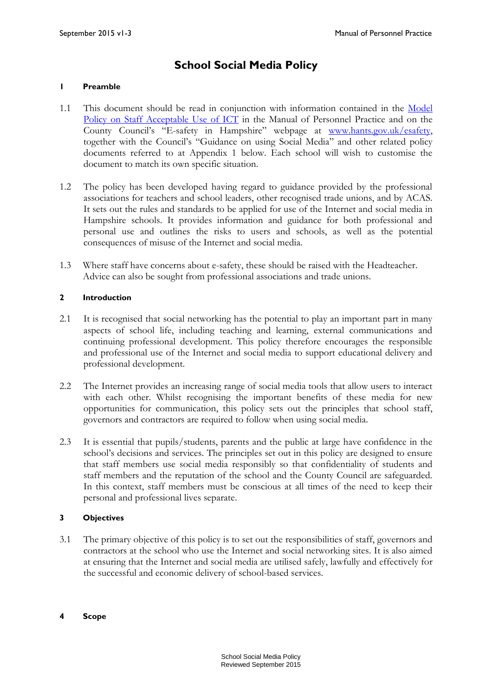## **School Social Media Policy**

#### **1 Preamble**

- 1.1 This document should be read in conjunction with information contained in the [Model](http://www3.hants.gov.uk/education/mopp/manage-staff/use-of-it.htm)  [Policy on Staff Acceptable Use of ICT](http://www3.hants.gov.uk/education/mopp/manage-staff/use-of-it.htm) in the Manual of Personnel Practice and on the County Council's "E-safety in Hampshire" webpage at [www.hants.gov.uk/esafety,](http://www.hants.gov.uk/esafety) together with the Council's "Guidance on using Social Media" and other related policy documents referred to at Appendix 1 below. Each school will wish to customise the document to match its own specific situation.
- 1.2 The policy has been developed having regard to guidance provided by the professional associations for teachers and school leaders, other recognised trade unions, and by ACAS. It sets out the rules and standards to be applied for use of the Internet and social media in Hampshire schools. It provides information and guidance for both professional and personal use and outlines the risks to users and schools, as well as the potential consequences of misuse of the Internet and social media.
- 1.3 Where staff have concerns about e-safety, these should be raised with the Headteacher. Advice can also be sought from professional associations and trade unions.

#### **2 Introduction**

- 2.1 It is recognised that social networking has the potential to play an important part in many aspects of school life, including teaching and learning, external communications and continuing professional development. This policy therefore encourages the responsible and professional use of the Internet and social media to support educational delivery and professional development.
- 2.2 The Internet provides an increasing range of social media tools that allow users to interact with each other. Whilst recognising the important benefits of these media for new opportunities for communication, this policy sets out the principles that school staff, governors and contractors are required to follow when using social media.
- 2.3 It is essential that pupils/students, parents and the public at large have confidence in the school's decisions and services. The principles set out in this policy are designed to ensure that staff members use social media responsibly so that confidentiality of students and staff members and the reputation of the school and the County Council are safeguarded. In this context, staff members must be conscious at all times of the need to keep their personal and professional lives separate.

#### **3 Objectives**

- 3.1 The primary objective of this policy is to set out the responsibilities of staff, governors and contractors at the school who use the Internet and social networking sites. It is also aimed at ensuring that the Internet and social media are utilised safely, lawfully and effectively for the successful and economic delivery of school-based services.
- **4 Scope**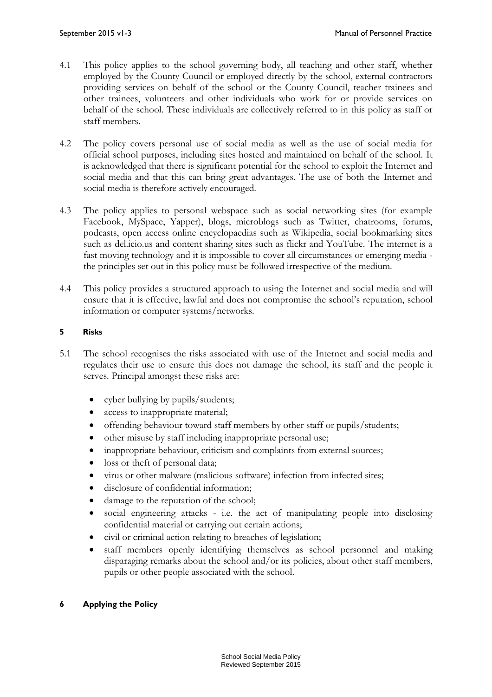- 4.1 This policy applies to the school governing body, all teaching and other staff, whether employed by the County Council or employed directly by the school, external contractors providing services on behalf of the school or the County Council, teacher trainees and other trainees, volunteers and other individuals who work for or provide services on behalf of the school. These individuals are collectively referred to in this policy as staff or staff members.
- 4.2 The policy covers personal use of social media as well as the use of social media for official school purposes, including sites hosted and maintained on behalf of the school. It is acknowledged that there is significant potential for the school to exploit the Internet and social media and that this can bring great advantages. The use of both the Internet and social media is therefore actively encouraged.
- 4.3 The policy applies to personal webspace such as social networking sites (for example Facebook, MySpace, Yapper), blogs, microblogs such as Twitter, chatrooms, forums, podcasts, open access online encyclopaedias such as Wikipedia, social bookmarking sites such as del.icio.us and content sharing sites such as flickr and YouTube. The internet is a fast moving technology and it is impossible to cover all circumstances or emerging media the principles set out in this policy must be followed irrespective of the medium.
- 4.4 This policy provides a structured approach to using the Internet and social media and will ensure that it is effective, lawful and does not compromise the school's reputation, school information or computer systems/networks.

#### **5 Risks**

- 5.1 The school recognises the risks associated with use of the Internet and social media and regulates their use to ensure this does not damage the school, its staff and the people it serves. Principal amongst these risks are:
	- cyber bullying by pupils/students;
	- access to inappropriate material;
	- offending behaviour toward staff members by other staff or pupils/students;
	- other misuse by staff including inappropriate personal use;
	- inappropriate behaviour, criticism and complaints from external sources;
	- loss or theft of personal data;
	- virus or other malware (malicious software) infection from infected sites;
	- disclosure of confidential information;
	- damage to the reputation of the school;
	- social engineering attacks i.e. the act of manipulating people into disclosing confidential material or carrying out certain actions;
	- civil or criminal action relating to breaches of legislation;
	- staff members openly identifying themselves as school personnel and making disparaging remarks about the school and/or its policies, about other staff members, pupils or other people associated with the school.

#### **6 Applying the Policy**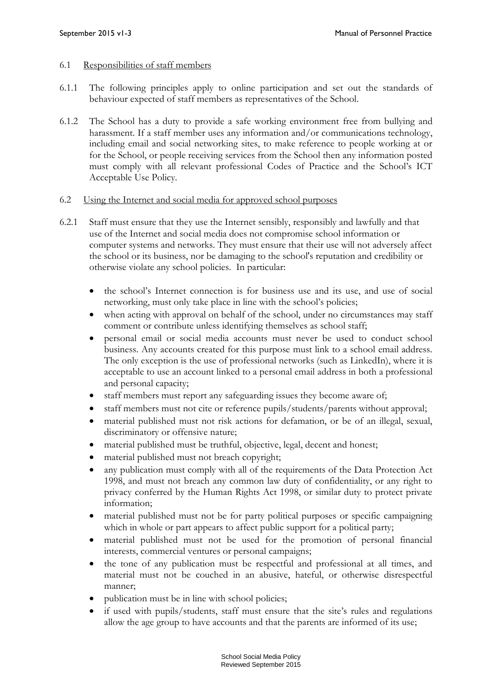#### 6.1 Responsibilities of staff members

- 6.1.1 The following principles apply to online participation and set out the standards of behaviour expected of staff members as representatives of the School.
- 6.1.2 The School has a duty to provide a safe working environment free from bullying and harassment. If a staff member uses any information and/or communications technology, including email and social networking sites, to make reference to people working at or for the School, or people receiving services from the School then any information posted must comply with all relevant professional Codes of Practice and the School's ICT Acceptable Use Policy.

#### 6.2 Using the Internet and social media for approved school purposes

- 6.2.1 Staff must ensure that they use the Internet sensibly, responsibly and lawfully and that use of the Internet and social media does not compromise school information or computer systems and networks. They must ensure that their use will not adversely affect the school or its business, nor be damaging to the school's reputation and credibility or otherwise violate any school policies. In particular:
	- the school's Internet connection is for business use and its use, and use of social networking, must only take place in line with the school's policies;
	- when acting with approval on behalf of the school, under no circumstances may staff comment or contribute unless identifying themselves as school staff;
	- personal email or social media accounts must never be used to conduct school business. Any accounts created for this purpose must link to a school email address. The only exception is the use of professional networks (such as LinkedIn), where it is acceptable to use an account linked to a personal email address in both a professional and personal capacity;
	- staff members must report any safeguarding issues they become aware of;
	- staff members must not cite or reference pupils/students/parents without approval;
	- material published must not risk actions for defamation, or be of an illegal, sexual, discriminatory or offensive nature;
	- material published must be truthful, objective, legal, decent and honest;
	- material published must not breach copyright;
	- any publication must comply with all of the requirements of the Data Protection Act 1998, and must not breach any common law duty of confidentiality, or any right to privacy conferred by the Human Rights Act 1998, or similar duty to protect private information;
	- material published must not be for party political purposes or specific campaigning which in whole or part appears to affect public support for a political party;
	- material published must not be used for the promotion of personal financial interests, commercial ventures or personal campaigns;
	- the tone of any publication must be respectful and professional at all times, and material must not be couched in an abusive, hateful, or otherwise disrespectful manner;
	- publication must be in line with school policies;
	- if used with pupils/students, staff must ensure that the site's rules and regulations allow the age group to have accounts and that the parents are informed of its use;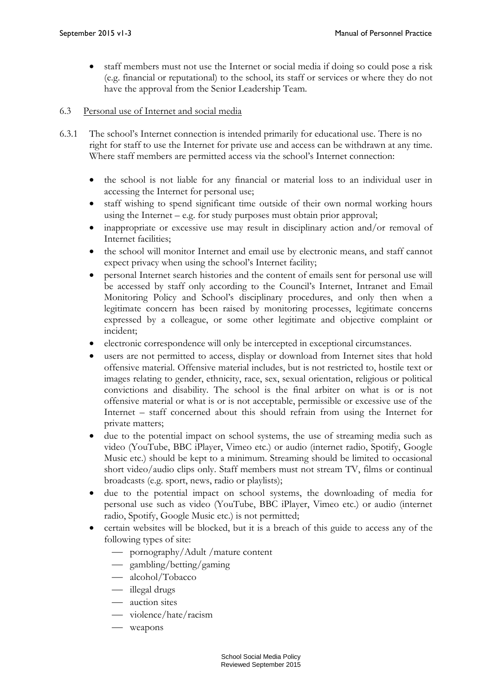- staff members must not use the Internet or social media if doing so could pose a risk (e.g. financial or reputational) to the school, its staff or services or where they do not have the approval from the Senior Leadership Team.
- 6.3 Personal use of Internet and social media
- 6.3.1 The school's Internet connection is intended primarily for educational use. There is no right for staff to use the Internet for private use and access can be withdrawn at any time. Where staff members are permitted access via the school's Internet connection:
	- the school is not liable for any financial or material loss to an individual user in accessing the Internet for personal use;
	- staff wishing to spend significant time outside of their own normal working hours using the Internet – e.g. for study purposes must obtain prior approval;
	- inappropriate or excessive use may result in disciplinary action and/or removal of Internet facilities;
	- the school will monitor Internet and email use by electronic means, and staff cannot expect privacy when using the school's Internet facility;
	- personal Internet search histories and the content of emails sent for personal use will be accessed by staff only according to the Council's Internet, Intranet and Email Monitoring Policy and School's disciplinary procedures, and only then when a legitimate concern has been raised by monitoring processes, legitimate concerns expressed by a colleague, or some other legitimate and objective complaint or incident;
	- electronic correspondence will only be intercepted in exceptional circumstances.
	- users are not permitted to access, display or download from Internet sites that hold offensive material. Offensive material includes, but is not restricted to, hostile text or images relating to gender, ethnicity, race, sex, sexual orientation, religious or political convictions and disability. The school is the final arbiter on what is or is not offensive material or what is or is not acceptable, permissible or excessive use of the Internet – staff concerned about this should refrain from using the Internet for private matters;
	- due to the potential impact on school systems, the use of streaming media such as video (YouTube, BBC iPlayer, Vimeo etc.) or audio (internet radio, Spotify, Google Music etc.) should be kept to a minimum. Streaming should be limited to occasional short video/audio clips only. Staff members must not stream TV, films or continual broadcasts (e.g. sport, news, radio or playlists);
	- due to the potential impact on school systems, the downloading of media for personal use such as video (YouTube, BBC iPlayer, Vimeo etc.) or audio (internet radio, Spotify, Google Music etc.) is not permitted;
	- certain websites will be blocked, but it is a breach of this guide to access any of the following types of site:
		- pornography/Adult /mature content
		- gambling/betting/gaming
		- alcohol/Tobacco
		- illegal drugs
		- auction sites
		- violence/hate/racism
		- weapons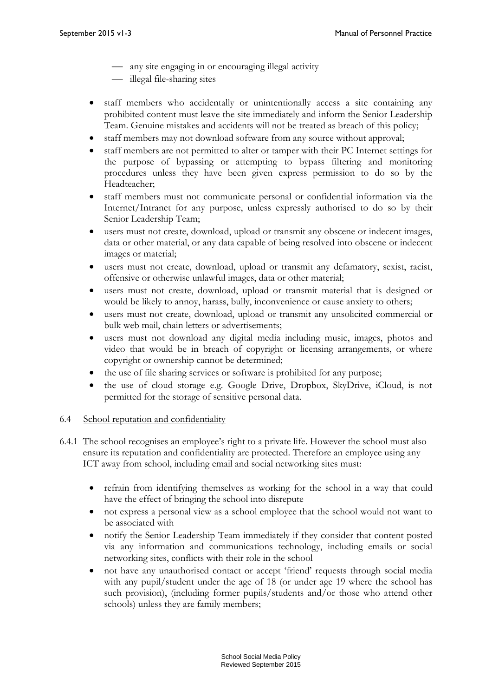- any site engaging in or encouraging illegal activity
- illegal file-sharing sites
- staff members who accidentally or unintentionally access a site containing any prohibited content must leave the site immediately and inform the Senior Leadership Team. Genuine mistakes and accidents will not be treated as breach of this policy;
- staff members may not download software from any source without approval;
- staff members are not permitted to alter or tamper with their PC Internet settings for the purpose of bypassing or attempting to bypass filtering and monitoring procedures unless they have been given express permission to do so by the Headteacher;
- staff members must not communicate personal or confidential information via the Internet/Intranet for any purpose, unless expressly authorised to do so by their Senior Leadership Team;
- users must not create, download, upload or transmit any obscene or indecent images, data or other material, or any data capable of being resolved into obscene or indecent images or material;
- users must not create, download, upload or transmit any defamatory, sexist, racist, offensive or otherwise unlawful images, data or other material;
- users must not create, download, upload or transmit material that is designed or would be likely to annoy, harass, bully, inconvenience or cause anxiety to others;
- users must not create, download, upload or transmit any unsolicited commercial or bulk web mail, chain letters or advertisements;
- users must not download any digital media including music, images, photos and video that would be in breach of copyright or licensing arrangements, or where copyright or ownership cannot be determined;
- the use of file sharing services or software is prohibited for any purpose;
- the use of cloud storage e.g. Google Drive, Dropbox, SkyDrive, iCloud, is not permitted for the storage of sensitive personal data.

#### 6.4 School reputation and confidentiality

- 6.4.1 The school recognises an employee's right to a private life. However the school must also ensure its reputation and confidentiality are protected. Therefore an employee using any ICT away from school, including email and social networking sites must:
	- refrain from identifying themselves as working for the school in a way that could have the effect of bringing the school into disrepute
	- not express a personal view as a school employee that the school would not want to be associated with
	- notify the Senior Leadership Team immediately if they consider that content posted via any information and communications technology, including emails or social networking sites, conflicts with their role in the school
	- not have any unauthorised contact or accept 'friend' requests through social media with any pupil/student under the age of 18 (or under age 19 where the school has such provision), (including former pupils/students and/or those who attend other schools) unless they are family members;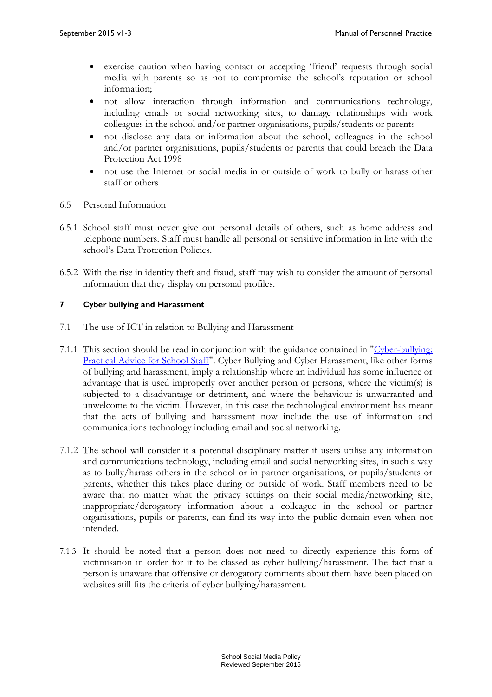- exercise caution when having contact or accepting 'friend' requests through social media with parents so as not to compromise the school's reputation or school information;
- not allow interaction through information and communications technology, including emails or social networking sites, to damage relationships with work colleagues in the school and/or partner organisations, pupils/students or parents
- not disclose any data or information about the school, colleagues in the school and/or partner organisations, pupils/students or parents that could breach the Data Protection Act 1998
- not use the Internet or social media in or outside of work to bully or harass other staff or others

#### 6.5 Personal Information

- 6.5.1 School staff must never give out personal details of others, such as home address and telephone numbers. Staff must handle all personal or sensitive information in line with the school's Data Protection Policies.
- 6.5.2 With the rise in identity theft and fraud, staff may wish to consider the amount of personal information that they display on personal profiles.

#### **7 Cyber bullying and Harassment**

#### 7.1 The use of ICT in relation to Bullying and Harassment

- 7.1.1 This section should be read in conjunction with the guidance contained in ["Cyber-bullying:](http://www3.hants.gov.uk/cyberbullying-dos-and-donts.doc)  [Practical Advice for School Staff".](http://www3.hants.gov.uk/cyberbullying-dos-and-donts.doc) Cyber Bullying and Cyber Harassment, like other forms of bullying and harassment, imply a relationship where an individual has some influence or advantage that is used improperly over another person or persons, where the victim(s) is subjected to a disadvantage or detriment, and where the behaviour is unwarranted and unwelcome to the victim. However, in this case the technological environment has meant that the acts of bullying and harassment now include the use of information and communications technology including email and social networking.
- 7.1.2 The school will consider it a potential disciplinary matter if users utilise any information and communications technology, including email and social networking sites, in such a way as to bully/harass others in the school or in partner organisations, or pupils/students or parents, whether this takes place during or outside of work. Staff members need to be aware that no matter what the privacy settings on their social media/networking site, inappropriate/derogatory information about a colleague in the school or partner organisations, pupils or parents, can find its way into the public domain even when not intended.
- 7.1.3 It should be noted that a person does not need to directly experience this form of victimisation in order for it to be classed as cyber bullying/harassment. The fact that a person is unaware that offensive or derogatory comments about them have been placed on websites still fits the criteria of cyber bullying/harassment.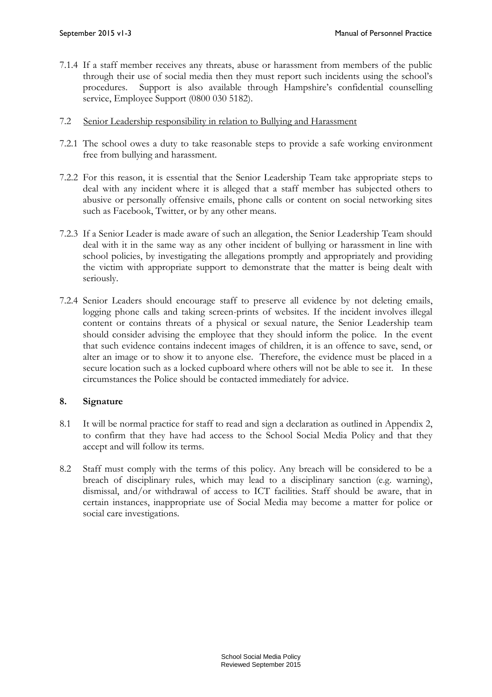- 7.1.4 If a staff member receives any threats, abuse or harassment from members of the public through their use of social media then they must report such incidents using the school's procedures. Support is also available through Hampshire's confidential counselling service, Employee Support (0800 030 5182).
- 7.2 Senior Leadership responsibility in relation to Bullying and Harassment
- 7.2.1 The school owes a duty to take reasonable steps to provide a safe working environment free from bullying and harassment.
- 7.2.2 For this reason, it is essential that the Senior Leadership Team take appropriate steps to deal with any incident where it is alleged that a staff member has subjected others to abusive or personally offensive emails, phone calls or content on social networking sites such as Facebook, Twitter, or by any other means.
- 7.2.3 If a Senior Leader is made aware of such an allegation, the Senior Leadership Team should deal with it in the same way as any other incident of bullying or harassment in line with school policies, by investigating the allegations promptly and appropriately and providing the victim with appropriate support to demonstrate that the matter is being dealt with seriously.
- 7.2.4 Senior Leaders should encourage staff to preserve all evidence by not deleting emails, logging phone calls and taking screen-prints of websites. If the incident involves illegal content or contains threats of a physical or sexual nature, the Senior Leadership team should consider advising the employee that they should inform the police. In the event that such evidence contains indecent images of children, it is an offence to save, send, or alter an image or to show it to anyone else. Therefore, the evidence must be placed in a secure location such as a locked cupboard where others will not be able to see it. In these circumstances the Police should be contacted immediately for advice.

#### **8. Signature**

- 8.1 It will be normal practice for staff to read and sign a declaration as outlined in Appendix 2, to confirm that they have had access to the School Social Media Policy and that they accept and will follow its terms.
- 8.2 Staff must comply with the terms of this policy. Any breach will be considered to be a breach of disciplinary rules, which may lead to a disciplinary sanction (e.g. warning), dismissal, and/or withdrawal of access to ICT facilities. Staff should be aware, that in certain instances, inappropriate use of Social Media may become a matter for police or social care investigations.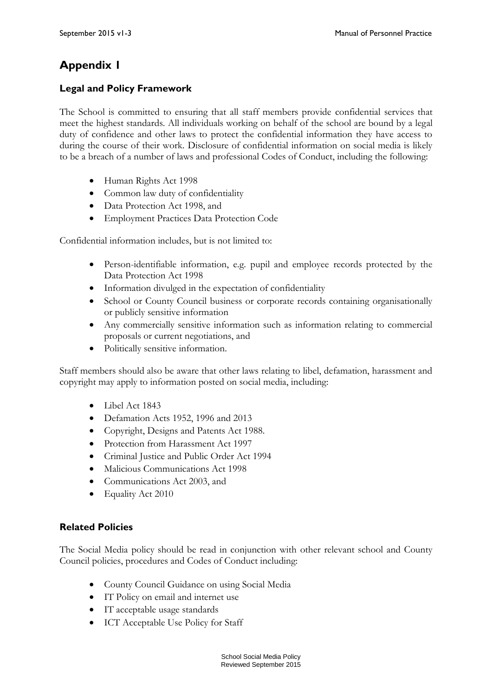## **Appendix 1**

### **Legal and Policy Framework**

The School is committed to ensuring that all staff members provide confidential services that meet the highest standards. All individuals working on behalf of the school are bound by a legal duty of confidence and other laws to protect the confidential information they have access to during the course of their work. Disclosure of confidential information on social media is likely to be a breach of a number of laws and professional Codes of Conduct, including the following:

- Human Rights Act 1998
- Common law duty of confidentiality
- Data Protection Act 1998, and
- Employment Practices Data Protection Code

Confidential information includes, but is not limited to:

- Person-identifiable information, e.g. pupil and employee records protected by the Data Protection Act 1998
- Information divulged in the expectation of confidentiality
- School or County Council business or corporate records containing organisationally or publicly sensitive information
- Any commercially sensitive information such as information relating to commercial proposals or current negotiations, and
- Politically sensitive information.

Staff members should also be aware that other laws relating to libel, defamation, harassment and copyright may apply to information posted on social media, including:

- Libel Act 1843
- Defamation Acts 1952, 1996 and 2013
- Copyright, Designs and Patents Act 1988.
- Protection from Harassment Act 1997
- Criminal Justice and Public Order Act 1994
- $\bullet$  Malicious Communications Act 1998
- Communications Act 2003, and
- Equality Act 2010

### **Related Policies**

The Social Media policy should be read in conjunction with other relevant school and County Council policies, procedures and Codes of Conduct including:

- County Council Guidance on using Social Media
- IT Policy on email and internet use
- IT acceptable usage standards
- ICT Acceptable Use Policy for Staff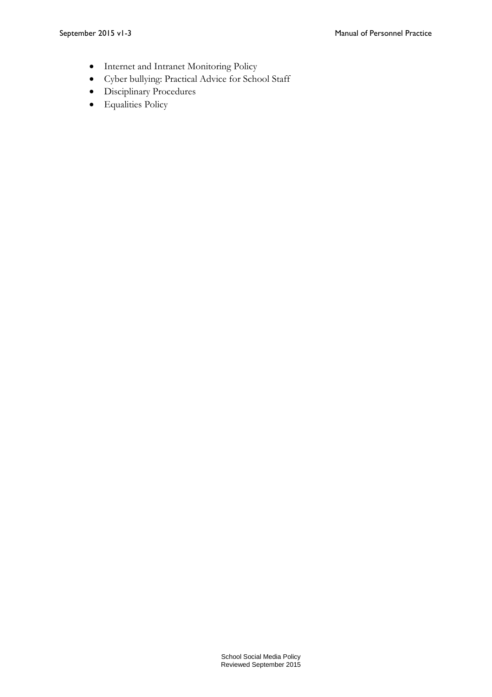- Internet and Intranet Monitoring Policy
- Cyber bullying: Practical Advice for School Staff
- Disciplinary Procedures
- Equalities Policy